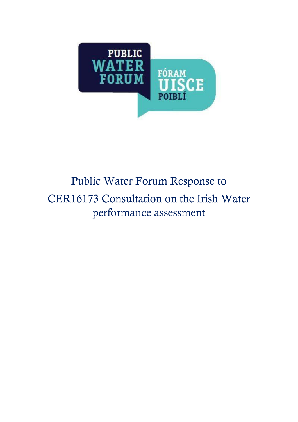

# Public Water Forum Response to CER16173 Consultation on the Irish Water performance assessment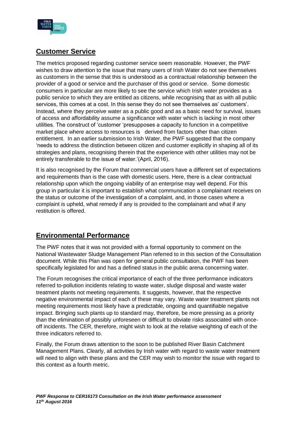

# **Customer Service**

The metrics proposed regarding customer service seem reasonable. However, the PWF wishes to draw attention to the issue that many users of Irish Water do not see themselves as customers in the sense that this is understood as a contractual relationship between the provider of a good or service and the purchaser of this good or service. Some domestic consumers in particular are more likely to see the service which Irish water provides as a public service to which they are entitled as citizens, while recognising that as with all public services, this comes at a cost. In this sense they do not see themselves as' customers'. Instead, where they perceive water as a public good and as a basic need for survival, issues of access and affordability assume a significance with water which is lacking in most other utilities. The construct of 'customer 'presupposes a capacity to function in a competitive market place where access to resources is derived from factors other than citizen entitlement. In an earlier submission to Irish Water, the PWF suggested that the company 'needs to address the distinction between citizen and customer explicitly in shaping all of its strategies and plans, recognising therein that the experience with other utilities may not be entirely transferable to the issue of water.'(April, 2016).

It is also recognised by the Forum that commercial users have a different set of expectations and requirements than is the case with domestic users. Here, there is a clear contractual relationship upon which the ongoing viability of an enterprise may well depend. For this group in particular it is important to establish what communication a complainant receives on the status or outcome of the investigation of a complaint, and, in those cases where a complaint is upheld, what remedy if any is provided to the complainant and what if any restitution is offered.

# **Environmental Performance**

The PWF notes that it was not provided with a formal opportunity to comment on the National Wastewater Sludge Management Plan referred to in this section of the Consultation document. While this Plan was open for general public consultation, the PWF has been specifically legislated for and has a defined status in the public arena concerning water.

The Forum recognises the critical importance of each of the three performance indicators referred to-pollution incidents relating to waste water, sludge disposal and waste water treatment plants not meeting requirements. It suggests, however, that the respective negative environmental impact of each of these may vary. Waste water treatment plants not meeting requirements most likely have a predictable, ongoing and quantifiable negative impact. Bringing such plants up to standard may, therefore, be more pressing as a priority than the elimination of possibly unforeseen or difficult to obviate risks associated with onceoff incidents. The CER, therefore, might wish to look at the relative weighting of each of the three indicators referred to.

Finally, the Forum draws attention to the soon to be published River Basin Catchment Management Plans. Clearly, all activities by Irish water with regard to waste water treatment will need to align with these plans and the CER may wish to monitor the issue with regard to this context as a fourth metric.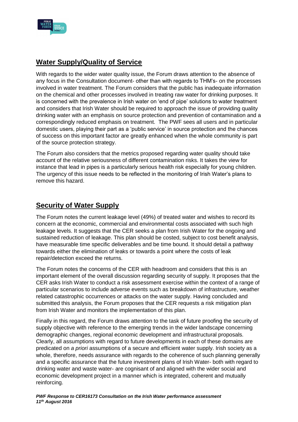

## **Water Supply/Quality of Service**

With regards to the wider water quality issue, the Forum draws attention to the absence of any focus in the Consultation document- other than with regards to THM's- on the processes involved in water treatment. The Forum considers that the public has inadequate information on the chemical and other processes involved in treating raw water for drinking purposes. It is concerned with the prevalence in Irish water on 'end of pipe' solutions to water treatment and considers that Irish Water should be required to approach the issue of providing quality drinking water with an emphasis on source protection and prevention of contamination and a correspondingly reduced emphasis on treatment. The PWF sees all users and in particular domestic users, playing their part as a 'public service' in source protection and the chances of success on this important factor are greatly enhanced when the whole community is part of the source protection strategy.

The Forum also considers that the metrics proposed regarding water quality should take account of the relative seriousness of different contamination risks. It takes the view for instance that lead in pipes is a particularly serious health risk especially for young children. The urgency of this issue needs to be reflected in the monitoring of Irish Water's plans to remove this hazard.

#### **Security of Water Supply**

The Forum notes the current leakage level (49%) of treated water and wishes to record its concern at the economic, commercial and environmental costs associated with such high leakage levels. It suggests that the CER seeks a plan from Irish Water for the ongoing and sustained reduction of leakage. This plan should be costed, subject to cost benefit analysis, have measurable time specific deliverables and be time bound. It should detail a pathway towards either the elimination of leaks or towards a point where the costs of leak repair/detection exceed the returns.

The Forum notes the concerns of the CER with headroom and considers that this is an important element of the overall discussion regarding security of supply. It proposes that the CER asks Irish Water to conduct a risk assessment exercise within the context of a range of particular scenarios to include adverse events such as breakdown of infrastructure, weather related catastrophic occurrences or attacks on the water supply. Having concluded and submitted this analysis, the Forum proposes that the CER requests a risk mitigation plan from Irish Water and monitors the implementation of this plan.

Finally in this regard, the Forum draws attention to the task of future proofing the security of supply objective with reference to the emerging trends in the wider landscape concerning demographic changes, regional economic development and infrastructural proposals. Clearly, all assumptions with regard to future developments in each of these domains are predicated on *a priori* assumptions of a secure and efficient water supply. Irish society as a whole, therefore, needs assurance with regards to the coherence of such planning generally and a specific assurance that the future investment plans of Irish Water- both with regard to drinking water and waste water- are cognisant of and aligned with the wider social and economic development project in a manner which is integrated, coherent and mutually reinforcing.